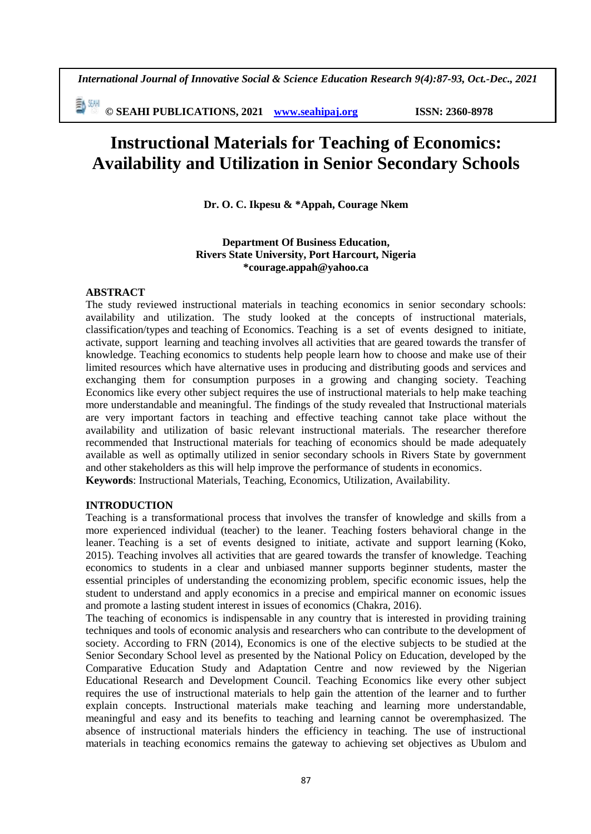*International Journal of Innovative Social & Science Education Research 9(4):87-93, Oct.-Dec., 2021*

**© SEAHI PUBLICATIONS, 2021 [www.seahipaj.org](http://www.seahipaj.org/) ISSN: 2360-8978**

# **Instructional Materials for Teaching of Economics: Availability and Utilization in Senior Secondary Schools**

**Dr. O. C. Ikpesu & \*Appah, Courage Nkem**

## **Department Of Business Education, Rivers State University, Port Harcourt, Nigeria \*courage.appah@yahoo.ca**

#### **ABSTRACT**

The study reviewed instructional materials in teaching economics in senior secondary schools: availability and utilization. The study looked at the concepts of instructional materials, classification/types and teaching of Economics. Teaching is a set of events designed to initiate, activate, support learning and teaching involves all activities that are geared towards the transfer of knowledge. Teaching economics to students help people learn how to choose and make use of their limited resources which have alternative uses in producing and distributing goods and services and exchanging them for consumption purposes in a growing and changing society. Teaching Economics like every other subject requires the use of instructional materials to help make teaching more understandable and meaningful. The findings of the study revealed that Instructional materials are very important factors in teaching and effective teaching cannot take place without the availability and utilization of basic relevant instructional materials. The researcher therefore recommended that Instructional materials for teaching of economics should be made adequately available as well as optimally utilized in senior secondary schools in Rivers State by government and other stakeholders as this will help improve the performance of students in economics. **Keywords**: Instructional Materials, Teaching, Economics, Utilization, Availability.

#### **INTRODUCTION**

Teaching is a transformational process that involves the transfer of knowledge and skills from a more experienced individual (teacher) to the leaner. Teaching fosters behavioral change in the leaner. Teaching is a set of events designed to initiate, activate and support learning (Koko, 2015). Teaching involves all activities that are geared towards the transfer of knowledge. Teaching economics to students in a clear and unbiased manner supports beginner students, master the essential principles of understanding the economizing problem, specific economic issues, help the student to understand and apply economics in a precise and empirical manner on economic issues and promote a lasting student interest in issues of economics (Chakra, 2016).

The teaching of economics is indispensable in any country that is interested in providing training techniques and tools of economic analysis and researchers who can contribute to the development of society. According to FRN (2014), Economics is one of the elective subjects to be studied at the Senior Secondary School level as presented by the National Policy on Education, developed by the Comparative Education Study and Adaptation Centre and now reviewed by the Nigerian Educational Research and Development Council. Teaching Economics like every other subject requires the use of instructional materials to help gain the attention of the learner and to further explain concepts. Instructional materials make teaching and learning more understandable, meaningful and easy and its benefits to teaching and learning cannot be overemphasized. The absence of instructional materials hinders the efficiency in teaching. The use of instructional materials in teaching economics remains the gateway to achieving set objectives as Ubulom and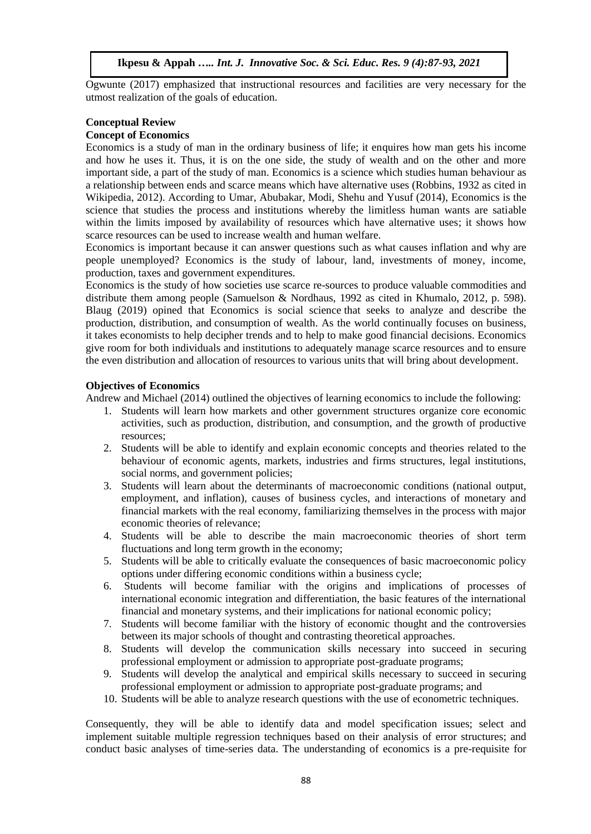Ogwunte (2017) emphasized that instructional resources and facilities are very necessary for the utmost realization of the goals of education.

# **Conceptual Review**

#### **Concept of Economics**

Economics is a study of man in the ordinary business of life; it enquires how man gets his income and how he uses it. Thus, it is on the one side, the study of wealth and on the other and more important side, a part of the study of man. Economics is a science which studies human behaviour as a relationship between ends and scarce means which have alternative uses (Robbins, 1932 as cited in Wikipedia, 2012). According to Umar, Abubakar, Modi, Shehu and Yusuf (2014), Economics is the science that studies the process and institutions whereby the limitless human wants are satiable within the limits imposed by availability of resources which have alternative uses; it shows how scarce resources can be used to increase wealth and human welfare.

Economics is important because it can answer questions such as what causes inflation and why are people unemployed? Economics is the study of labour, land, investments of money, income, production, taxes and government expenditures.

Economics is the study of how societies use scarce re-sources to produce valuable commodities and distribute them among people (Samuelson & Nordhaus, 1992 as cited in Khumalo, 2012, p. 598). Blaug (2019) opined that Economics is [social science](https://www.britannica.com/topic/social-science) that seeks to analyze and describe the production, distribution, and [consumption](https://www.britannica.com/topic/consumption) of wealth. As the world continually focuses on business, it takes economists to help decipher trends and to help to make good financial decisions. Economics give room for both individuals and institutions to adequately manage scarce resources and to ensure the even distribution and allocation of resources to various units that will bring about development.

## **Objectives of Economics**

Andrew and Michael (2014) outlined the objectives of learning economics to include the following:

- 1. Students will learn how markets and other government structures organize core economic activities, such as production, distribution, and consumption, and the growth of productive resources;
- 2. Students will be able to identify and explain economic concepts and theories related to the behaviour of economic agents, markets, industries and firms structures, legal institutions, social norms, and government policies;
- 3. Students will learn about the determinants of macroeconomic conditions (national output, employment, and inflation), causes of business cycles, and interactions of monetary and financial markets with the real economy, familiarizing themselves in the process with major economic theories of relevance;
- 4. Students will be able to describe the main macroeconomic theories of short term fluctuations and long term growth in the economy;
- 5. Students will be able to critically evaluate the consequences of basic macroeconomic policy options under differing economic conditions within a business cycle;
- 6. Students will become familiar with the origins and implications of processes of international economic integration and differentiation, the basic features of the international financial and monetary systems, and their implications for national economic policy;
- 7. Students will become familiar with the history of economic thought and the controversies between its major schools of thought and contrasting theoretical approaches.
- 8. Students will develop the communication skills necessary into succeed in securing professional employment or admission to appropriate post-graduate programs;
- 9. Students will develop the analytical and empirical skills necessary to succeed in securing professional employment or admission to appropriate post-graduate programs; and
- 10. Students will be able to analyze research questions with the use of econometric techniques.

Consequently, they will be able to identify data and model specification issues; select and implement suitable multiple regression techniques based on their analysis of error structures; and conduct basic analyses of time-series data. The understanding of economics is a pre-requisite for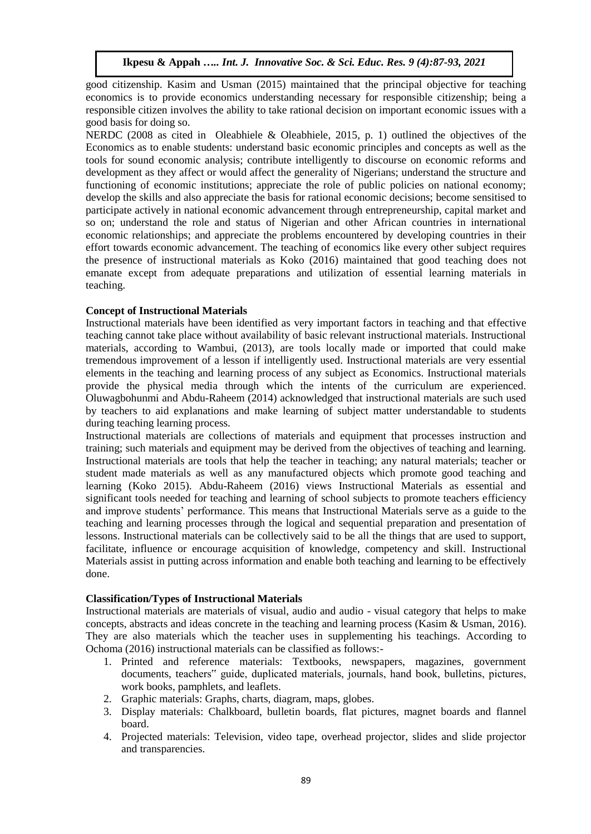good citizenship. Kasim and Usman (2015) maintained that the principal objective for teaching economics is to provide economics understanding necessary for responsible citizenship; being a responsible citizen involves the ability to take rational decision on important economic issues with a good basis for doing so.

NERDC (2008 as cited in Oleabhiele & Oleabhiele, 2015, p. 1) outlined the objectives of the Economics as to enable students: understand basic economic principles and concepts as well as the tools for sound economic analysis; contribute intelligently to discourse on economic reforms and development as they affect or would affect the generality of Nigerians; understand the structure and functioning of economic institutions; appreciate the role of public policies on national economy; develop the skills and also appreciate the basis for rational economic decisions; become sensitised to participate actively in national economic advancement through entrepreneurship, capital market and so on; understand the role and status of Nigerian and other African countries in international economic relationships; and appreciate the problems encountered by developing countries in their effort towards economic advancement. The teaching of economics like every other subject requires the presence of instructional materials as Koko (2016) maintained that good teaching does not emanate except from adequate preparations and utilization of essential learning materials in teaching.

# **Concept of Instructional Materials**

Instructional materials have been identified as very important factors in teaching and that effective teaching cannot take place without availability of basic relevant instructional materials. Instructional materials, according to Wambui, (2013), are tools locally made or imported that could make tremendous improvement of a lesson if intelligently used. Instructional materials are very essential elements in the teaching and learning process of any subject as Economics. Instructional materials provide the physical media through which the intents of the curriculum are experienced. Oluwagbohunmi and Abdu-Raheem (2014) acknowledged that instructional materials are such used by teachers to aid explanations and make learning of subject matter understandable to students during teaching learning process.

Instructional materials are collections of materials and equipment that processes instruction and training; such materials and equipment may be derived from the objectives of teaching and learning. Instructional materials are tools that help the teacher in teaching; any natural materials; teacher or student made materials as well as any manufactured objects which promote good teaching and learning (Koko 2015). Abdu-Raheem (2016) views Instructional Materials as essential and significant tools needed for teaching and learning of school subjects to promote teachers efficiency and improve students' performance. This means that Instructional Materials serve as a guide to the teaching and learning processes through the logical and sequential preparation and presentation of lessons. Instructional materials can be collectively said to be all the things that are used to support, facilitate, influence or encourage acquisition of knowledge, competency and skill. Instructional Materials assist in putting across information and enable both teaching and learning to be effectively done.

# **Classification/Types of Instructional Materials**

Instructional materials are materials of visual, audio and audio - visual category that helps to make concepts, abstracts and ideas concrete in the teaching and learning process (Kasim & Usman, 2016). They are also materials which the teacher uses in supplementing his teachings. According to Ochoma (2016) instructional materials can be classified as follows:-

- 1. Printed and reference materials: Textbooks, newspapers, magazines, government documents, teachers" guide, duplicated materials, journals, hand book, bulletins, pictures, work books, pamphlets, and leaflets.
- 2. Graphic materials: Graphs, charts, diagram, maps, globes.
- 3. Display materials: Chalkboard, bulletin boards, flat pictures, magnet boards and flannel board.
- 4. Projected materials: Television, video tape, overhead projector, slides and slide projector and transparencies.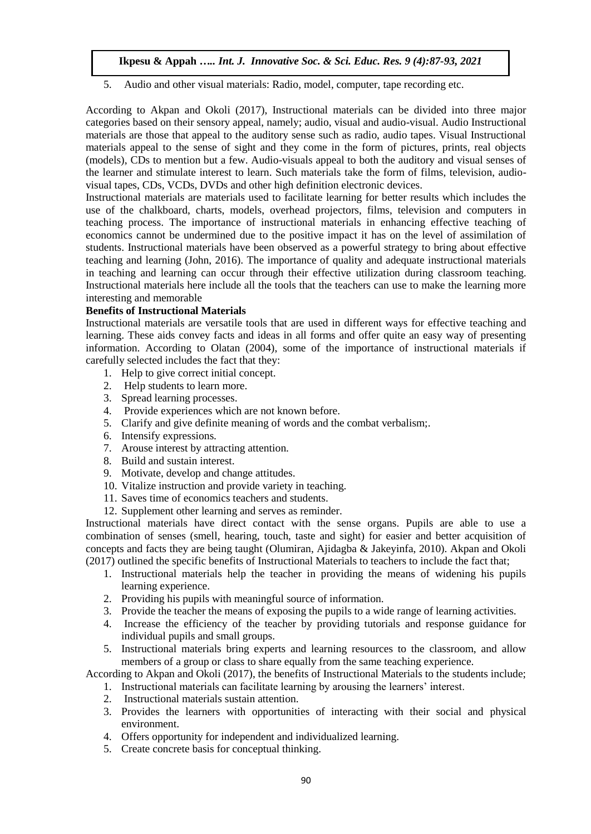5. Audio and other visual materials: Radio, model, computer, tape recording etc.

According to Akpan and Okoli (2017), Instructional materials can be divided into three major categories based on their sensory appeal, namely; audio, visual and audio-visual. Audio Instructional materials are those that appeal to the auditory sense such as radio, audio tapes. Visual Instructional materials appeal to the sense of sight and they come in the form of pictures, prints, real objects (models), CDs to mention but a few. Audio-visuals appeal to both the auditory and visual senses of the learner and stimulate interest to learn. Such materials take the form of films, television, audiovisual tapes, CDs, VCDs, DVDs and other high definition electronic devices.

Instructional materials are materials used to facilitate learning for better results which includes the use of the chalkboard, charts, models, overhead projectors, films, television and computers in teaching process. The importance of instructional materials in enhancing effective teaching of economics cannot be undermined due to the positive impact it has on the level of assimilation of students. Instructional materials have been observed as a powerful strategy to bring about effective teaching and learning (John, 2016). The importance of quality and adequate instructional materials in teaching and learning can occur through their effective utilization during classroom teaching. Instructional materials here include all the tools that the teachers can use to make the learning more interesting and memorable

# **Benefits of Instructional Materials**

Instructional materials are versatile tools that are used in different ways for effective teaching and learning. These aids convey facts and ideas in all forms and offer quite an easy way of presenting information. According to Olatan (2004), some of the importance of instructional materials if carefully selected includes the fact that they:

- 1. Help to give correct initial concept.
- 2. Help students to learn more.
- 3. Spread learning processes.
- 4. Provide experiences which are not known before.
- 5. Clarify and give definite meaning of words and the combat verbalism;.
- 6. Intensify expressions.
- 7. Arouse interest by attracting attention.
- 8. Build and sustain interest.
- 9. Motivate, develop and change attitudes.
- 10. Vitalize instruction and provide variety in teaching.
- 11. Saves time of economics teachers and students.
- 12. Supplement other learning and serves as reminder.

Instructional materials have direct contact with the sense organs. Pupils are able to use a combination of senses (smell, hearing, touch, taste and sight) for easier and better acquisition of concepts and facts they are being taught (Olumiran, Ajidagba & Jakeyinfa, 2010). Akpan and Okoli (2017) outlined the specific benefits of Instructional Materials to teachers to include the fact that;

- 1. Instructional materials help the teacher in providing the means of widening his pupils learning experience.
- 2. Providing his pupils with meaningful source of information.
- 3. Provide the teacher the means of exposing the pupils to a wide range of learning activities.
- 4. Increase the efficiency of the teacher by providing tutorials and response guidance for individual pupils and small groups.
- 5. Instructional materials bring experts and learning resources to the classroom, and allow members of a group or class to share equally from the same teaching experience.

According to Akpan and Okoli (2017), the benefits of Instructional Materials to the students include;

- 1. Instructional materials can facilitate learning by arousing the learners' interest.
- 2. Instructional materials sustain attention.
- 3. Provides the learners with opportunities of interacting with their social and physical environment.
- 4. Offers opportunity for independent and individualized learning.
- 5. Create concrete basis for conceptual thinking.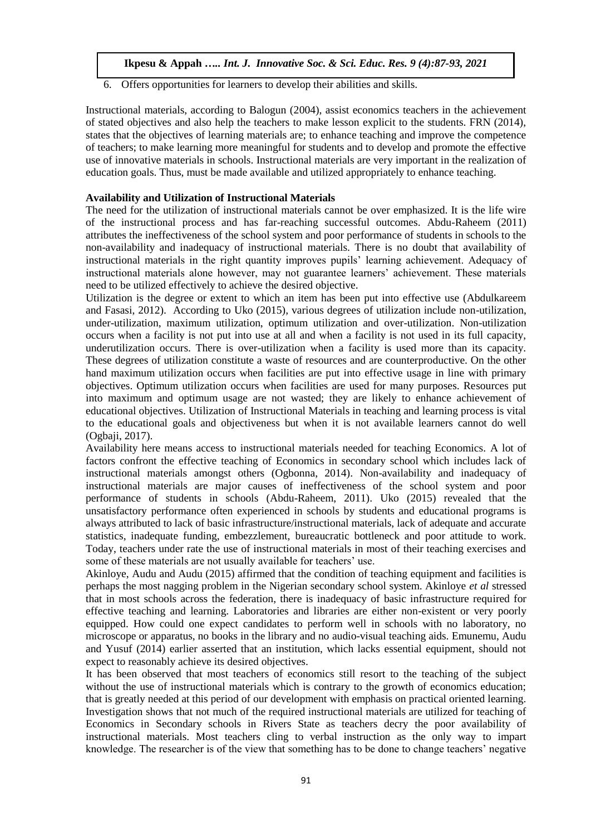6. Offers opportunities for learners to develop their abilities and skills.

Instructional materials, according to Balogun (2004), assist economics teachers in the achievement of stated objectives and also help the teachers to make lesson explicit to the students. FRN (2014), states that the objectives of learning materials are; to enhance teaching and improve the competence of teachers; to make learning more meaningful for students and to develop and promote the effective use of innovative materials in schools. Instructional materials are very important in the realization of education goals. Thus, must be made available and utilized appropriately to enhance teaching.

# **Availability and Utilization of Instructional Materials**

The need for the utilization of instructional materials cannot be over emphasized. It is the life wire of the instructional process and has far-reaching successful outcomes. Abdu-Raheem (2011) attributes the ineffectiveness of the school system and poor performance of students in schools to the non-availability and inadequacy of instructional materials. There is no doubt that availability of instructional materials in the right quantity improves pupils' learning achievement. Adequacy of instructional materials alone however, may not guarantee learners' achievement. These materials need to be utilized effectively to achieve the desired objective.

Utilization is the degree or extent to which an item has been put into effective use (Abdulkareem and Fasasi, 2012). According to Uko (2015), various degrees of utilization include non-utilization, under-utilization, maximum utilization, optimum utilization and over-utilization. Non-utilization occurs when a facility is not put into use at all and when a facility is not used in its full capacity, underutilization occurs. There is over-utilization when a facility is used more than its capacity. These degrees of utilization constitute a waste of resources and are counterproductive. On the other hand maximum utilization occurs when facilities are put into effective usage in line with primary objectives. Optimum utilization occurs when facilities are used for many purposes. Resources put into maximum and optimum usage are not wasted; they are likely to enhance achievement of educational objectives. Utilization of Instructional Materials in teaching and learning process is vital to the educational goals and objectiveness but when it is not available learners cannot do well (Ogbaji, 2017).

Availability here means access to instructional materials needed for teaching Economics. A lot of factors confront the effective teaching of Economics in secondary school which includes lack of instructional materials amongst others (Ogbonna, 2014). Non-availability and inadequacy of instructional materials are major causes of ineffectiveness of the school system and poor performance of students in schools (Abdu-Raheem, 2011). Uko (2015) revealed that the unsatisfactory performance often experienced in schools by students and educational programs is always attributed to lack of basic infrastructure/instructional materials, lack of adequate and accurate statistics, inadequate funding, embezzlement, bureaucratic bottleneck and poor attitude to work. Today, teachers under rate the use of instructional materials in most of their teaching exercises and some of these materials are not usually available for teachers' use.

Akinloye, Audu and Audu (2015) affirmed that the condition of teaching equipment and facilities is perhaps the most nagging problem in the Nigerian secondary school system. Akinloye *et al* stressed that in most schools across the federation, there is inadequacy of basic infrastructure required for effective teaching and learning. Laboratories and libraries are either non-existent or very poorly equipped. How could one expect candidates to perform well in schools with no laboratory, no microscope or apparatus, no books in the library and no audio-visual teaching aids. Emunemu, Audu and Yusuf (2014) earlier asserted that an institution, which lacks essential equipment, should not expect to reasonably achieve its desired objectives.

It has been observed that most teachers of economics still resort to the teaching of the subject without the use of instructional materials which is contrary to the growth of economics education; that is greatly needed at this period of our development with emphasis on practical oriented learning. Investigation shows that not much of the required instructional materials are utilized for teaching of Economics in Secondary schools in Rivers State as teachers decry the poor availability of instructional materials. Most teachers cling to verbal instruction as the only way to impart knowledge. The researcher is of the view that something has to be done to change teachers' negative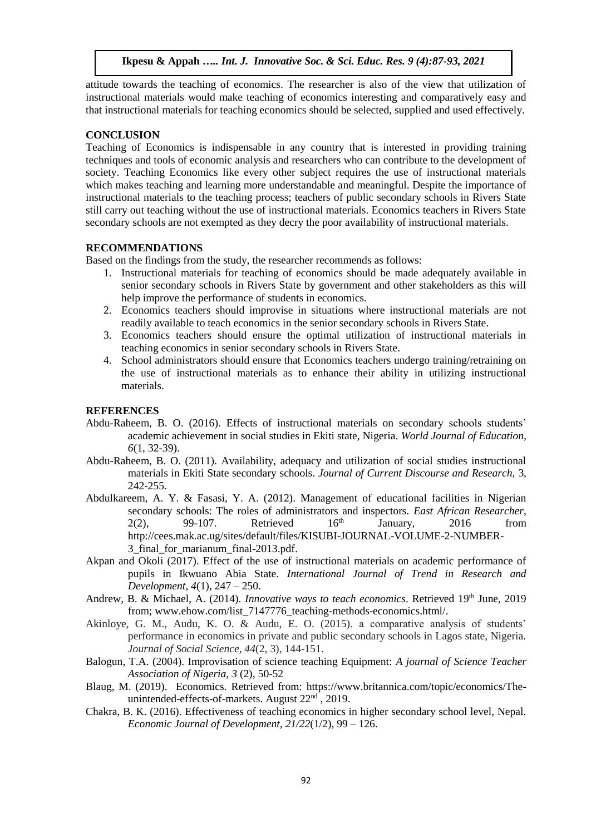attitude towards the teaching of economics. The researcher is also of the view that utilization of instructional materials would make teaching of economics interesting and comparatively easy and that instructional materials for teaching economics should be selected, supplied and used effectively.

# **CONCLUSION**

Teaching of Economics is indispensable in any country that is interested in providing training techniques and tools of economic analysis and researchers who can contribute to the development of society. Teaching Economics like every other subject requires the use of instructional materials which makes teaching and learning more understandable and meaningful. Despite the importance of instructional materials to the teaching process; teachers of public secondary schools in Rivers State still carry out teaching without the use of instructional materials. Economics teachers in Rivers State secondary schools are not exempted as they decry the poor availability of instructional materials.

# **RECOMMENDATIONS**

Based on the findings from the study, the researcher recommends as follows:

- 1. Instructional materials for teaching of economics should be made adequately available in senior secondary schools in Rivers State by government and other stakeholders as this will help improve the performance of students in economics.
- 2. Economics teachers should improvise in situations where instructional materials are not readily available to teach economics in the senior secondary schools in Rivers State.
- 3. Economics teachers should ensure the optimal utilization of instructional materials in teaching economics in senior secondary schools in Rivers State.
- 4. School administrators should ensure that Economics teachers undergo training/retraining on the use of instructional materials as to enhance their ability in utilizing instructional materials.

## **REFERENCES**

- Abdu-Raheem, B. O. (2016). Effects of instructional materials on secondary schools students' academic achievement in social studies in Ekiti state, Nigeria. *World Journal of Education, 6*(1, 32-39).
- Abdu-Raheem, B. O. (2011). Availability, adequacy and utilization of social studies instructional materials in Ekiti State secondary schools. *Journal of Current Discourse and Research,* 3, 242-255.
- Abdulkareem, A. Y. & Fasasi, Y. A. (2012). Management of educational facilities in Nigerian secondary schools: The roles of administrators and inspectors. *East African Researcher*,  $2(2)$ , 99-107. Retrieved  $16<sup>th</sup>$  January, 2016 from [http://cees.mak.ac.ug/sites/default/files/KISUBI-JOURNAL-VOLUME-2-NUMBER-](http://cees.mak.ac.ug/sites/default/files/KISUBI-JOURNAL-VOLUME-2-NUMBER-3_final_for_marianum_final-2013.pdf)[3\\_final\\_for\\_marianum\\_final-2013.pdf.](http://cees.mak.ac.ug/sites/default/files/KISUBI-JOURNAL-VOLUME-2-NUMBER-3_final_for_marianum_final-2013.pdf)
- Akpan and Okoli (2017). Effect of the use of instructional materials on academic performance of pupils in Ikwuano Abia State. *International Journal of Trend in Research and Development, 4*(1), 247 – 250.
- Andrew, B. & Michael, A. (2014). *Innovative ways to teach economics*. Retrieved 19<sup>th</sup> June, 2019 from; [www.ehow.com/list\\_7147776\\_teaching-methods-economics.html/.](http://www.ehow.com/list_7147776_teaching-methods-economics.html/)
- Akinloye, G. M., Audu, K. O. & Audu, E. O. (2015). a comparative analysis of students' performance in economics in private and public secondary schools in Lagos state, Nigeria. *Journal of Social Science, 44*(2, 3), 144-151.
- Balogun, T.A. (2004). Improvisation of science teaching Equipment: *A journal of Science Teacher Association of Nigeria*, *3* (2), 50-52
- Blaug, M. (2019). Economics. Retrieved from: [https://www.britannica.com/topic/economics/The](https://www.britannica.com/topic/economics/The-unintended-effects-of-markets)[unintended-effects-of-markets.](https://www.britannica.com/topic/economics/The-unintended-effects-of-markets) August  $22<sup>nd</sup>$ , 2019.
- Chakra, B. K. (2016). Effectiveness of teaching economics in higher secondary school level, Nepal. *Economic Journal of Development, 21/22*(1/2), 99 – 126.